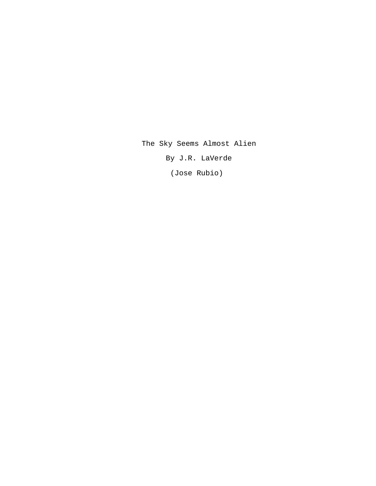The Sky Seems Almost Alien

By J.R. LaVerde

(Jose Rubio)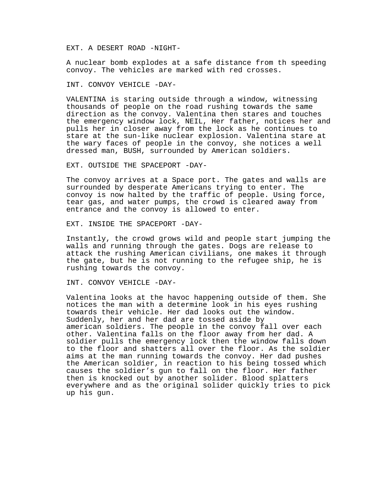EXT. A DESERT ROAD -NIGHT-

A nuclear bomb explodes at a safe distance from th speeding convoy. The vehicles are marked with red crosses.

INT. CONVOY VEHICLE -DAY-

VALENTINA is staring outside through a window, witnessing thousands of people on the road rushing towards the same direction as the convoy. Valentina then stares and touches the emergency window lock, NEIL, Her father, notices her and pulls her in closer away from the lock as he continues to stare at the sun-like nuclear explosion. Valentina stare at the wary faces of people in the convoy, she notices a well dressed man, BUSH, surrounded by American soldiers.

EXT. OUTSIDE THE SPACEPORT -DAY-

The convoy arrives at a Space port. The gates and walls are surrounded by desperate Americans trying to enter. The convoy is now halted by the traffic of people. Using force, tear gas, and water pumps, the crowd is cleared away from entrance and the convoy is allowed to enter.

EXT. INSIDE THE SPACEPORT -DAY-

Instantly, the crowd grows wild and people start jumping the walls and running through the gates. Dogs are release to attack the rushing American civilians, one makes it through the gate, but he is not running to the refugee ship, he is rushing towards the convoy.

INT. CONVOY VEHICLE -DAY-

Valentina looks at the havoc happening outside of them. She notices the man with a determine look in his eyes rushing towards their vehicle. Her dad looks out the window. Suddenly, her and her dad are tossed aside by american soldiers. The people in the convoy fall over each other. Valentina falls on the floor away from her dad. A soldier pulls the emergency lock then the window falls down to the floor and shatters all over the floor. As the soldier aims at the man running towards the convoy. Her dad pushes the American soldier, in reaction to his being tossed which causes the soldier's gun to fall on the floor. Her father then is knocked out by another solider. Blood splatters everywhere and as the original solider quickly tries to pick up his gun.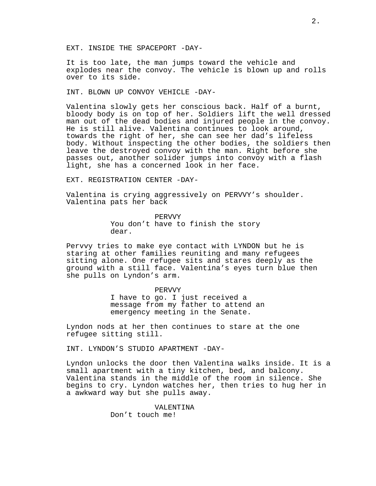EXT. INSIDE THE SPACEPORT -DAY-

It is too late, the man jumps toward the vehicle and explodes near the convoy. The vehicle is blown up and rolls over to its side.

INT. BLOWN UP CONVOY VEHICLE -DAY-

Valentina slowly gets her conscious back. Half of a burnt, bloody body is on top of her. Soldiers lift the well dressed man out of the dead bodies and injured people in the convoy. He is still alive. Valentina continues to look around, towards the right of her, she can see her dad's lifeless body. Without inspecting the other bodies, the soldiers then leave the destroyed convoy with the man. Right before she passes out, another solider jumps into convoy with a flash light, she has a concerned look in her face.

EXT. REGISTRATION CENTER -DAY-

Valentina is crying aggressively on PERVVY's shoulder. Valentina pats her back

> PERVVY You don't have to finish the story dear.

Pervvy tries to make eye contact with LYNDON but he is staring at other families reuniting and many refugees sitting alone. One refugee sits and stares deeply as the ground with a still face. Valentina's eyes turn blue then she pulls on Lyndon's arm.

PERVVY

I have to go. I just received a message from my father to attend an emergency meeting in the Senate.

Lyndon nods at her then continues to stare at the one refugee sitting still.

INT. LYNDON'S STUDIO APARTMENT -DAY-

Lyndon unlocks the door then Valentina walks inside. It is a small apartment with a tiny kitchen, bed, and balcony. Valentina stands in the middle of the room in silence. She begins to cry. Lyndon watches her, then tries to hug her in a awkward way but she pulls away.

> VALENTINA Don't touch me!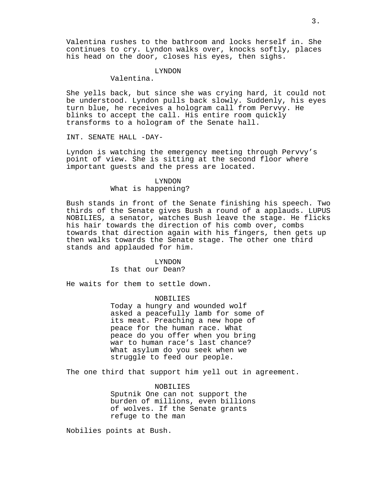Valentina rushes to the bathroom and locks herself in. She continues to cry. Lyndon walks over, knocks softly, places his head on the door, closes his eyes, then sighs.

# LYNDON

Valentina.

She yells back, but since she was crying hard, it could not be understood. Lyndon pulls back slowly. Suddenly, his eyes turn blue, he receives a hologram call from Pervvy. He blinks to accept the call. His entire room quickly transforms to a hologram of the Senate hall.

INT. SENATE HALL -DAY-

Lyndon is watching the emergency meeting through Pervvy's point of view. She is sitting at the second floor where important guests and the press are located.

# LYNDON What is happening?

Bush stands in front of the Senate finishing his speech. Two thirds of the Senate gives Bush a round of a applauds. LUPUS NOBILIES, a senator, watches Bush leave the stage. He flicks his hair towards the direction of his comb over, combs towards that direction again with his fingers, then gets up then walks towards the Senate stage. The other one third stands and applauded for him.

#### LYNDON

Is that our Dean?

He waits for them to settle down.

#### NOBILIES

Today a hungry and wounded wolf asked a peacefully lamb for some of its meat. Preaching a new hope of peace for the human race. What peace do you offer when you bring war to human race's last chance? What asylum do you seek when we struggle to feed our people.

The one third that support him yell out in agreement.

NOBILIES

Sputnik One can not support the burden of millions, even billions of wolves. If the Senate grants refuge to the man

Nobilies points at Bush.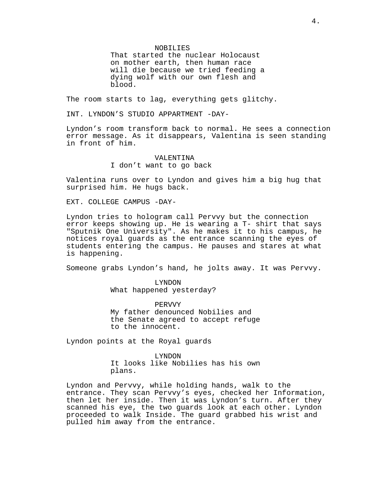NOBILIES

That started the nuclear Holocaust on mother earth, then human race will die because we tried feeding a dying wolf with our own flesh and blood.

The room starts to lag, everything gets glitchy.

INT. LYNDON'S STUDIO APPARTMENT -DAY-

Lyndon's room transform back to normal. He sees a connection error message. As it disappears, Valentina is seen standing in front of him.

> VALENTINA I don't want to go back

Valentina runs over to Lyndon and gives him a big hug that surprised him. He hugs back.

EXT. COLLEGE CAMPUS -DAY-

Lyndon tries to hologram call Pervvy but the connection error keeps showing up. He is wearing a T- shirt that says "Sputnik One University". As he makes it to his campus, he notices royal guards as the entrance scanning the eyes of students entering the campus. He pauses and stares at what is happening.

Someone grabs Lyndon's hand, he jolts away. It was Pervvy.

LYNDON What happened yesterday?

PERVVY My father denounced Nobilies and the Senate agreed to accept refuge to the innocent.

Lyndon points at the Royal guards

LYNDON It looks like Nobilies has his own plans.

Lyndon and Pervvy, while holding hands, walk to the entrance. They scan Pervvy's eyes, checked her Information, then let her inside. Then it was Lyndon's turn. After they scanned his eye, the two guards look at each other. Lyndon proceeded to walk Inside. The guard grabbed his wrist and pulled him away from the entrance.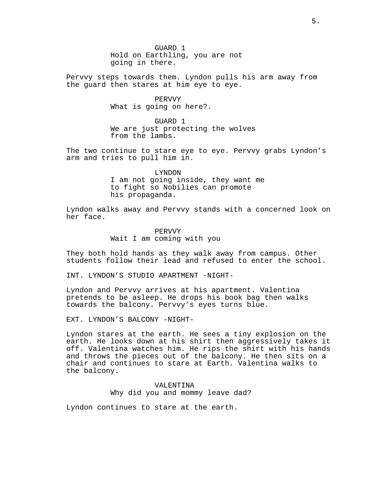GUARD 1 Hold on Earthling, you are not going in there.

Pervvy steps towards them. Lyndon pulls his arm away from the guard then stares at him eye to eye.

> PERVVY What is going on here?.

GUARD 1 We are just protecting the wolves from the lambs.

The two continue to stare eye to eye. Pervvy grabs Lyndon's arm and tries to pull him in.

> LYNDON I am not going inside, they want me to fight so Nobilies can promote his propaganda.

Lyndon walks away and Pervvy stands with a concerned look on her face.

> PERVVY Wait I am coming with you

They both hold hands as they walk away from campus. Other students follow their lead and refused to enter the school.

INT. LYNDON'S STUDIO APARTMENT -NIGHT-

Lyndon and Pervvy arrives at his apartment. Valentina pretends to be asleep. He drops his book bag then walks towards the balcony. Pervvy's eyes turns blue.

EXT. LYNDON'S BALCONY -NIGHT-

Lyndon stares at the earth. He sees a tiny explosion on the earth. He looks down at his shirt then aggressively takes it off. Valentina watches him. He rips the shirt with his hands and throws the pieces out of the balcony. He then sits on a chair and continues to stare at Earth. Valentina walks to the balcony.

> VALENTINA Why did you and mommy leave dad?

Lyndon continues to stare at the earth.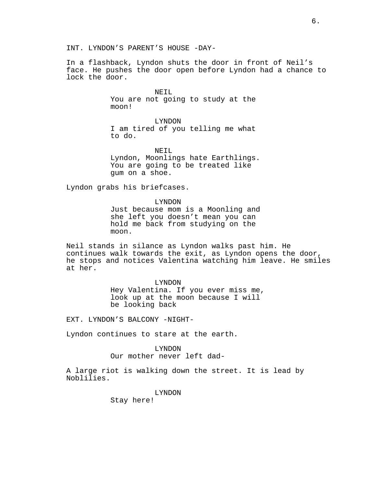In a flashback, Lyndon shuts the door in front of Neil's face. He pushes the door open before Lyndon had a chance to lock the door.

> NEIL You are not going to study at the moon!

> LYNDON I am tired of you telling me what to do.

NETL Lyndon, Moonlings hate Earthlings. You are going to be treated like gum on a shoe.

Lyndon grabs his briefcases.

LYNDON Just because mom is a Moonling and she left you doesn't mean you can hold me back from studying on the moon.

Neil stands in silance as Lyndon walks past him. He continues walk towards the exit, as Lyndon opens the door, he stops and notices Valentina watching him leave. He smiles at her.

#### LYNDON

Hey Valentina. If you ever miss me, look up at the moon because I will be looking back

EXT. LYNDON'S BALCONY -NIGHT-

Lyndon continues to stare at the earth.

# LYNDON

Our mother never left dad-

A large riot is walking down the street. It is lead by Noblilies.

LYNDON

Stay here!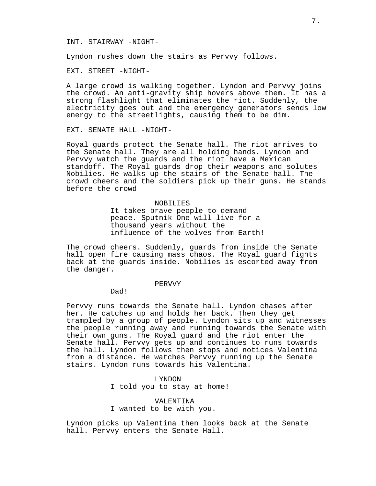#### INT. STAIRWAY -NIGHT-

Lyndon rushes down the stairs as Pervvy follows.

EXT. STREET -NIGHT-

A large crowd is walking together. Lyndon and Pervvy joins the crowd. An anti-gravity ship hovers above them. It has a strong flashlight that eliminates the riot. Suddenly, the electricity goes out and the emergency generators sends low energy to the streetlights, causing them to be dim.

EXT. SENATE HALL -NIGHT-

Royal guards protect the Senate hall. The riot arrives to the Senate hall. They are all holding hands. Lyndon and Pervvy watch the guards and the riot have a Mexican standoff. The Royal guards drop their weapons and solutes Nobilies. He walks up the stairs of the Senate hall. The crowd cheers and the soldiers pick up their guns. He stands before the crowd

#### NOBILIES

It takes brave people to demand peace. Sputnik One will live for a thousand years without the influence of the wolves from Earth!

The crowd cheers. Suddenly, guards from inside the Senate hall open fire causing mass chaos. The Royal guard fights back at the guards inside. Nobilies is escorted away from the danger.

# PERVVY

Dad!

Pervvy runs towards the Senate hall. Lyndon chases after her. He catches up and holds her back. Then they get trampled by a group of people. Lyndon sits up and witnesses the people running away and running towards the Senate with their own guns. The Royal guard and the riot enter the Senate hall. Pervvy gets up and continues to runs towards the hall. Lyndon follows then stops and notices Valentina from a distance. He watches Pervvy running up the Senate stairs. Lyndon runs towards his Valentina.

## LYNDON

I told you to stay at home!

# VALENTINA I wanted to be with you.

Lyndon picks up Valentina then looks back at the Senate hall. Pervvy enters the Senate Hall.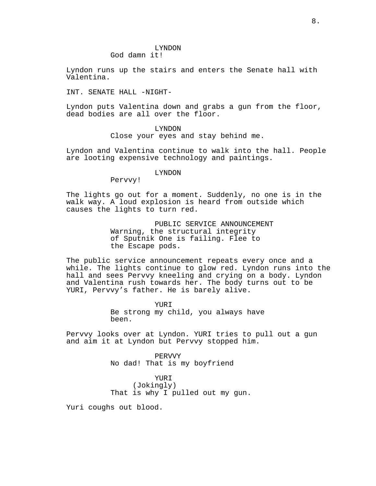#### LYNDON God damn it!

Lyndon runs up the stairs and enters the Senate hall with Valentina.

INT. SENATE HALL -NIGHT-

Lyndon puts Valentina down and grabs a gun from the floor, dead bodies are all over the floor.

# LYNDON

Close your eyes and stay behind me.

Lyndon and Valentina continue to walk into the hall. People are looting expensive technology and paintings.

## LYNDON

Pervvy!

The lights go out for a moment. Suddenly, no one is in the walk way. A loud explosion is heard from outside which causes the lights to turn red.

> PUBLIC SERVICE ANNOUNCEMENT Warning, the structural integrity of Sputnik One is failing. Flee to the Escape pods.

The public service announcement repeats every once and a while. The lights continue to glow red. Lyndon runs into the hall and sees Pervvy kneeling and crying on a body. Lyndon and Valentina rush towards her. The body turns out to be YURI, Pervvy's father. He is barely alive.

> YURI Be strong my child, you always have been.

Pervvy looks over at Lyndon. YURI tries to pull out a gun and aim it at Lyndon but Pervvy stopped him.

> PERVVY No dad! That is my boyfriend

YURI (Jokingly) That is why I pulled out my gun.

Yuri coughs out blood.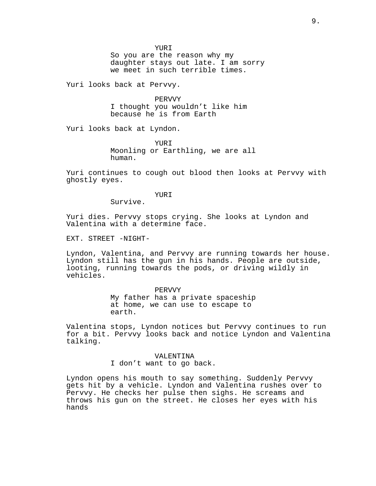YURI

So you are the reason why my daughter stays out late. I am sorry we meet in such terrible times.

Yuri looks back at Pervvy.

PERVVY I thought you wouldn't like him because he is from Earth

Yuri looks back at Lyndon.

YURI Moonling or Earthling, we are all human.

Yuri continues to cough out blood then looks at Pervvy with ghostly eyes.

YURI

Survive.

Yuri dies. Pervvy stops crying. She looks at Lyndon and Valentina with a determine face.

EXT. STREET -NIGHT-

Lyndon, Valentina, and Pervvy are running towards her house. Lyndon still has the gun in his hands. People are outside, looting, running towards the pods, or driving wildly in vehicles.

### PERVVY

My father has a private spaceship at home, we can use to escape to earth.

Valentina stops, Lyndon notices but Pervvy continues to run for a bit. Pervvy looks back and notice Lyndon and Valentina talking.

> VALENTINA I don't want to go back.

Lyndon opens his mouth to say something. Suddenly Pervvy gets hit by a vehicle. Lyndon and Valentina rushes over to Pervvy. He checks her pulse then sighs. He screams and throws his gun on the street. He closes her eyes with his hands